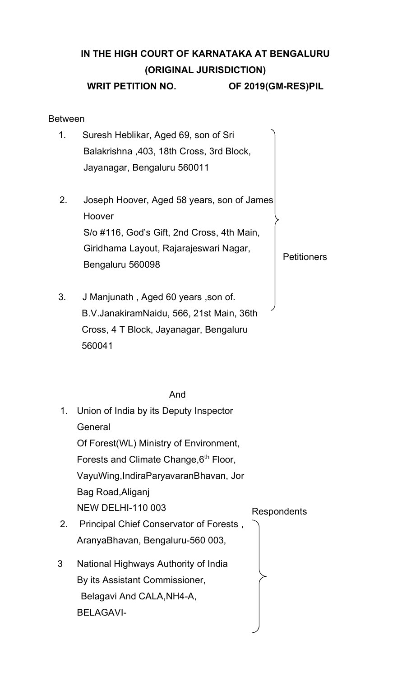# **IN THE HIGH COURT OF KARNATAKA AT BENGALURU (ORIGINAL JURISDICTION) WRIT PETITION NO. OF 2019(GM-RES)PIL**

**Petitioners** 

#### Between

- 1. Suresh Heblikar, Aged 69, son of Sri Balakrishna ,403, 18th Cross, 3rd Block, Jayanagar, Bengaluru 560011
- 2. Joseph Hoover, Aged 58 years, son of James Hoover S/o #116, God's Gift, 2nd Cross, 4th Main, Giridhama Layout, Rajarajeswari Nagar, Bengaluru 560098
- 3. J Manjunath , Aged 60 years ,son of. B.V.JanakiramNaidu, 566, 21st Main, 36th Cross, 4 T Block, Jayanagar, Bengaluru 560041

#### And

1. Union of India by its Deputy Inspector **General** Of Forest(WL) Ministry of Environment, Forests and Climate Change, 6<sup>th</sup> Floor, VayuWing,IndiraParyavaranBhavan, Jor Bag Road,Aliganj NEW DELHI-110 003 Respondents 2. Principal Chief Conservator of Forests , AranyaBhavan, Bengaluru-560 003, 3 National Highways Authority of India By its Assistant Commissioner, Belagavi And CALA,NH4-A, BELAGAVI-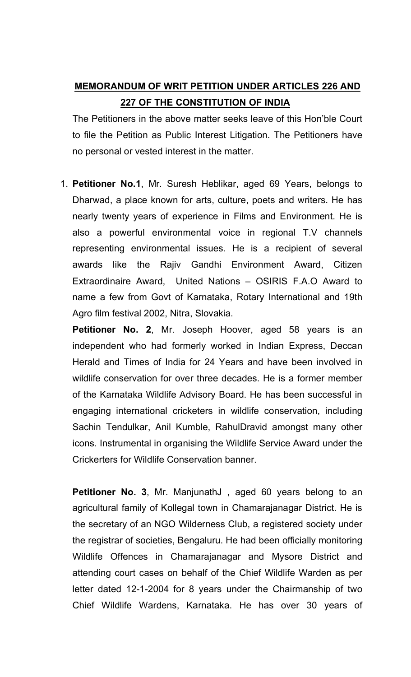## **MEMORANDUM OF WRIT PETITION UNDER ARTICLES 226 AND 227 OF THE CONSTITUTION OF INDIA**

The Petitioners in the above matter seeks leave of this Hon'ble Court to file the Petition as Public Interest Litigation. The Petitioners have no personal or vested interest in the matter.

1. **Petitioner No.1**, Mr. Suresh Heblikar, aged 69 Years, belongs to Dharwad, a place known for arts, culture, poets and writers. He has nearly twenty years of experience in Films and Environment. He is also a powerful environmental voice in regional T.V channels representing environmental issues. He is a recipient of several awards like the Rajiv Gandhi Environment Award, Citizen Extraordinaire Award, United Nations – OSIRIS F.A.O Award to name a few from Govt of Karnataka, Rotary International and 19th Agro film festival 2002, Nitra, Slovakia.

**Petitioner No. 2**, Mr. Joseph Hoover, aged 58 years is an independent who had formerly worked in Indian Express, Deccan Herald and Times of India for 24 Years and have been involved in wildlife conservation for over three decades. He is a former member of the Karnataka Wildlife Advisory Board. He has been successful in engaging international cricketers in wildlife conservation, including Sachin Tendulkar, Anil Kumble, RahulDravid amongst many other icons. Instrumental in organising the Wildlife Service Award under the Crickerters for Wildlife Conservation banner.

Petitioner No. 3, Mr. ManjunathJ, aged 60 years belong to an agricultural family of Kollegal town in Chamarajanagar District. He is the secretary of an NGO Wilderness Club, a registered society under the registrar of societies, Bengaluru. He had been officially monitoring Wildlife Offences in Chamarajanagar and Mysore District and attending court cases on behalf of the Chief Wildlife Warden as per letter dated 12-1-2004 for 8 years under the Chairmanship of two Chief Wildlife Wardens, Karnataka. He has over 30 years of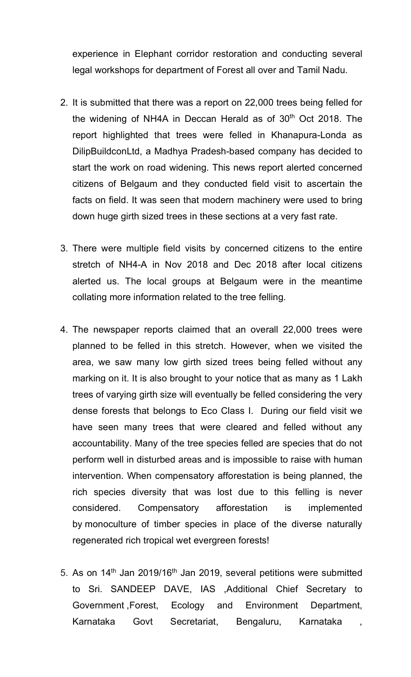experience in Elephant corridor restoration and conducting several legal workshops for department of Forest all over and Tamil Nadu.

- 2. It is submitted that there was a report on 22,000 trees being felled for the widening of NH4A in Deccan Herald as of  $30<sup>th</sup>$  Oct 2018. The report highlighted that trees were felled in Khanapura-Londa as DilipBuildconLtd, a Madhya Pradesh-based company has decided to start the work on road widening. This news report alerted concerned citizens of Belgaum and they conducted field visit to ascertain the facts on field. It was seen that modern machinery were used to bring down huge girth sized trees in these sections at a very fast rate.
- 3. There were multiple field visits by concerned citizens to the entire stretch of NH4-A in Nov 2018 and Dec 2018 after local citizens alerted us. The local groups at Belgaum were in the meantime collating more information related to the tree felling.
- 4. The newspaper reports claimed that an overall 22,000 trees were planned to be felled in this stretch. However, when we visited the area, we saw many low girth sized trees being felled without any marking on it. It is also brought to your notice that as many as 1 Lakh trees of varying girth size will eventually be felled considering the very dense forests that belongs to Eco Class I. During our field visit we have seen many trees that were cleared and felled without any accountability. Many of the tree species felled are species that do not perform well in disturbed areas and is impossible to raise with human intervention. When compensatory afforestation is being planned, the rich species diversity that was lost due to this felling is never considered. Compensatory afforestation is implemented by monoculture of timber species in place of the diverse naturally regenerated rich tropical wet evergreen forests!
- 5. As on 14<sup>th</sup> Jan 2019/16<sup>th</sup> Jan 2019, several petitions were submitted to Sri. SANDEEP DAVE, IAS ,Additional Chief Secretary to Government ,Forest, Ecology and Environment Department, Karnataka Govt Secretariat, Bengaluru, Karnataka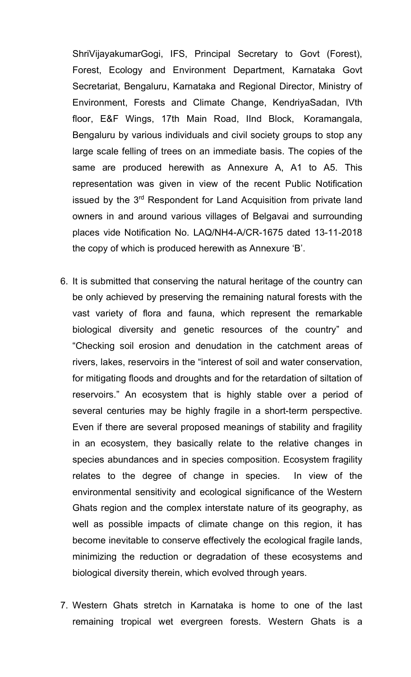ShriVijayakumarGogi, IFS, Principal Secretary to Govt (Forest), Forest, Ecology and Environment Department, Karnataka Govt Secretariat, Bengaluru, Karnataka and Regional Director, Ministry of Environment, Forests and Climate Change, KendriyaSadan, IVth floor, E&F Wings, 17th Main Road, IInd Block, Koramangala, Bengaluru by various individuals and civil society groups to stop any large scale felling of trees on an immediate basis. The copies of the same are produced herewith as Annexure A, A1 to A5. This representation was given in view of the recent Public Notification issued by the 3<sup>rd</sup> Respondent for Land Acquisition from private land owners in and around various villages of Belgavai and surrounding places vide Notification No. LAQ/NH4-A/CR-1675 dated 13-11-2018 the copy of which is produced herewith as Annexure 'B'.

- 6. It is submitted that conserving the natural heritage of the country can be only achieved by preserving the remaining natural forests with the vast variety of flora and fauna, which represent the remarkable biological diversity and genetic resources of the country" and "Checking soil erosion and denudation in the catchment areas of rivers, lakes, reservoirs in the "interest of soil and water conservation, for mitigating floods and droughts and for the retardation of siltation of reservoirs." An ecosystem that is highly stable over a period of several centuries may be highly fragile in a short-term perspective. Even if there are several proposed meanings of stability and fragility in an ecosystem, they basically relate to the relative changes in species abundances and in species composition. Ecosystem fragility relates to the degree of change in species. In view of the environmental sensitivity and ecological significance of the Western Ghats region and the complex interstate nature of its geography, as well as possible impacts of climate change on this region, it has become inevitable to conserve effectively the ecological fragile lands, minimizing the reduction or degradation of these ecosystems and biological diversity therein, which evolved through years.
- 7. Western Ghats stretch in Karnataka is home to one of the last remaining tropical wet evergreen forests. Western Ghats is a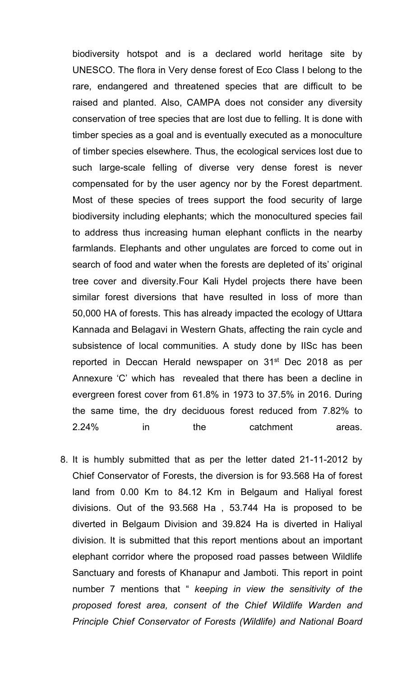biodiversity hotspot and is a declared world heritage site by UNESCO. The flora in Very dense forest of Eco Class I belong to the rare, endangered and threatened species that are difficult to be raised and planted. Also, CAMPA does not consider any diversity conservation of tree species that are lost due to felling. It is done with timber species as a goal and is eventually executed as a monoculture of timber species elsewhere. Thus, the ecological services lost due to such large-scale felling of diverse very dense forest is never compensated for by the user agency nor by the Forest department. Most of these species of trees support the food security of large biodiversity including elephants; which the monocultured species fail to address thus increasing human elephant conflicts in the nearby farmlands. Elephants and other ungulates are forced to come out in search of food and water when the forests are depleted of its' original tree cover and diversity.Four Kali Hydel projects there have been similar forest diversions that have resulted in loss of more than 50,000 HA of forests. This has already impacted the ecology of Uttara Kannada and Belagavi in Western Ghats, affecting the rain cycle and subsistence of local communities. A study done by IISc has been reported in Deccan Herald newspaper on 31<sup>st</sup> Dec 2018 as per Annexure 'C' which has revealed that there has been a decline in evergreen forest cover from 61.8% in 1973 to 37.5% in 2016. During the same time, the dry deciduous forest reduced from 7.82% to 2.24% in the catchment areas.

8. It is humbly submitted that as per the letter dated 21-11-2012 by Chief Conservator of Forests, the diversion is for 93.568 Ha of forest land from 0.00 Km to 84.12 Km in Belgaum and Haliyal forest divisions. Out of the 93.568 Ha , 53.744 Ha is proposed to be diverted in Belgaum Division and 39.824 Ha is diverted in Haliyal division. It is submitted that this report mentions about an important elephant corridor where the proposed road passes between Wildlife Sanctuary and forests of Khanapur and Jamboti. This report in point number 7 mentions that " *keeping in view the sensitivity of the proposed forest area, consent of the Chief Wildlife Warden and Principle Chief Conservator of Forests (Wildlife) and National Board*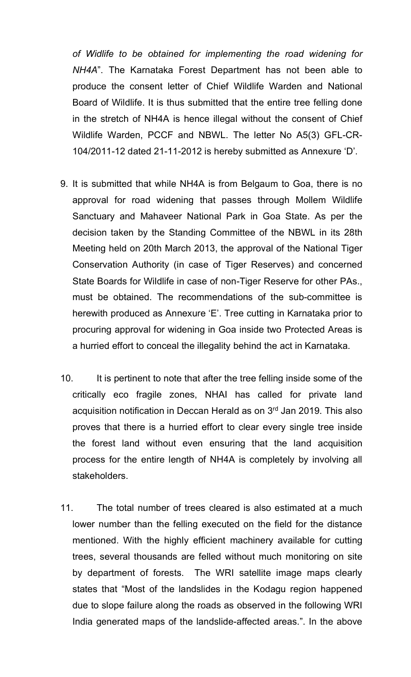*of Widlife to be obtained for implementing the road widening for NH4A*". The Karnataka Forest Department has not been able to produce the consent letter of Chief Wildlife Warden and National Board of Wildlife. It is thus submitted that the entire tree felling done in the stretch of NH4A is hence illegal without the consent of Chief Wildlife Warden, PCCF and NBWL. The letter No A5(3) GFL-CR-104/2011-12 dated 21-11-2012 is hereby submitted as Annexure 'D'.

- 9. It is submitted that while NH4A is from Belgaum to Goa, there is no approval for road widening that passes through Mollem Wildlife Sanctuary and Mahaveer National Park in Goa State. As per the decision taken by the Standing Committee of the NBWL in its 28th Meeting held on 20th March 2013, the approval of the National Tiger Conservation Authority (in case of Tiger Reserves) and concerned State Boards for Wildlife in case of non-Tiger Reserve for other PAs., must be obtained. The recommendations of the sub-committee is herewith produced as Annexure 'E'. Tree cutting in Karnataka prior to procuring approval for widening in Goa inside two Protected Areas is a hurried effort to conceal the illegality behind the act in Karnataka.
- 10. It is pertinent to note that after the tree felling inside some of the critically eco fragile zones, NHAI has called for private land acquisition notification in Deccan Herald as on 3<sup>rd</sup> Jan 2019. This also proves that there is a hurried effort to clear every single tree inside the forest land without even ensuring that the land acquisition process for the entire length of NH4A is completely by involving all stakeholders.
- 11. The total number of trees cleared is also estimated at a much lower number than the felling executed on the field for the distance mentioned. With the highly efficient machinery available for cutting trees, several thousands are felled without much monitoring on site by department of forests. The WRI satellite image maps clearly states that "Most of the landslides in the Kodagu region happened due to slope failure along the roads as observed in the following WRI India generated maps of the landslide-affected areas.". In the above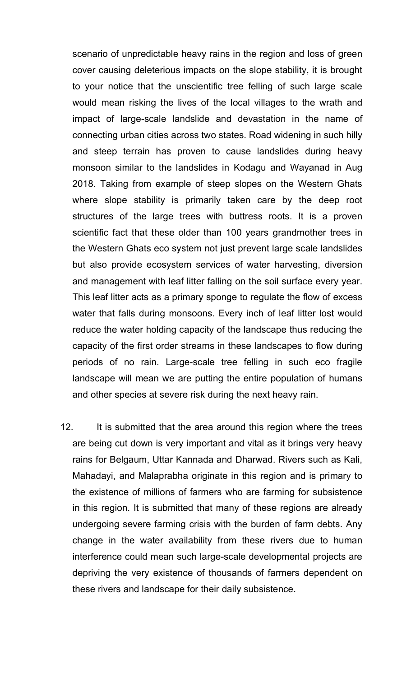scenario of unpredictable heavy rains in the region and loss of green cover causing deleterious impacts on the slope stability, it is brought to your notice that the unscientific tree felling of such large scale would mean risking the lives of the local villages to the wrath and impact of large-scale landslide and devastation in the name of connecting urban cities across two states. Road widening in such hilly and steep terrain has proven to cause landslides during heavy monsoon similar to the landslides in Kodagu and Wayanad in Aug 2018. Taking from example of steep slopes on the Western Ghats where slope stability is primarily taken care by the deep root structures of the large trees with buttress roots. It is a proven scientific fact that these older than 100 years grandmother trees in the Western Ghats eco system not just prevent large scale landslides but also provide ecosystem services of water harvesting, diversion and management with leaf litter falling on the soil surface every year. This leaf litter acts as a primary sponge to regulate the flow of excess water that falls during monsoons. Every inch of leaf litter lost would reduce the water holding capacity of the landscape thus reducing the capacity of the first order streams in these landscapes to flow during periods of no rain. Large-scale tree felling in such eco fragile landscape will mean we are putting the entire population of humans and other species at severe risk during the next heavy rain.

12. It is submitted that the area around this region where the trees are being cut down is very important and vital as it brings very heavy rains for Belgaum, Uttar Kannada and Dharwad. Rivers such as Kali, Mahadayi, and Malaprabha originate in this region and is primary to the existence of millions of farmers who are farming for subsistence in this region. It is submitted that many of these regions are already undergoing severe farming crisis with the burden of farm debts. Any change in the water availability from these rivers due to human interference could mean such large-scale developmental projects are depriving the very existence of thousands of farmers dependent on these rivers and landscape for their daily subsistence.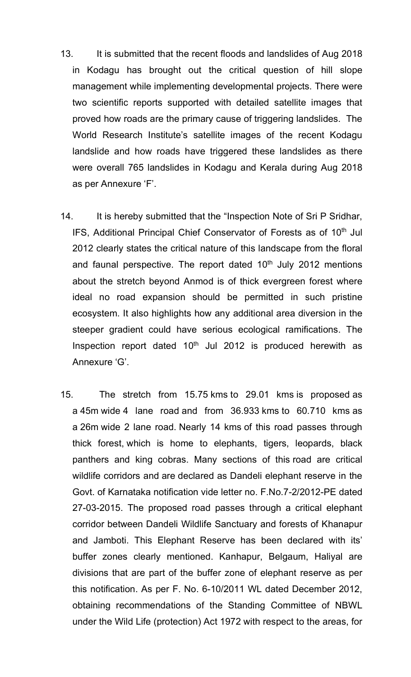- 13. It is submitted that the recent floods and landslides of Aug 2018 in Kodagu has brought out the critical question of hill slope management while implementing developmental projects. There were two scientific reports supported with detailed satellite images that proved how roads are the primary cause of triggering landslides. The World Research Institute's satellite images of the recent Kodagu landslide and how roads have triggered these landslides as there were overall 765 landslides in Kodagu and Kerala during Aug 2018 as per Annexure 'F'.
- 14. It is hereby submitted that the "Inspection Note of Sri P Sridhar, IFS, Additional Principal Chief Conservator of Forests as of 10<sup>th</sup> Jul 2012 clearly states the critical nature of this landscape from the floral and faunal perspective. The report dated  $10<sup>th</sup>$  July 2012 mentions about the stretch beyond Anmod is of thick evergreen forest where ideal no road expansion should be permitted in such pristine ecosystem. It also highlights how any additional area diversion in the steeper gradient could have serious ecological ramifications. The Inspection report dated  $10<sup>th</sup>$  Jul 2012 is produced herewith as Annexure 'G'.
- 15. The stretch from 15.75 kms to 29.01 kms is proposed as a 45m wide 4 lane road and from 36.933 kms to 60.710 kms as a 26m wide 2 lane road. Nearly 14 kms of this road passes through thick forest, which is home to elephants, tigers, leopards, black panthers and king cobras. Many sections of this road are critical wildlife corridors and are declared as Dandeli elephant reserve in the Govt. of Karnataka notification vide letter no. F.No.7-2/2012-PE dated 27-03-2015. The proposed road passes through a critical elephant corridor between Dandeli Wildlife Sanctuary and forests of Khanapur and Jamboti. This Elephant Reserve has been declared with its' buffer zones clearly mentioned. Kanhapur, Belgaum, Haliyal are divisions that are part of the buffer zone of elephant reserve as per this notification. As per F. No. 6-10/2011 WL dated December 2012, obtaining recommendations of the Standing Committee of NBWL under the Wild Life (protection) Act 1972 with respect to the areas, for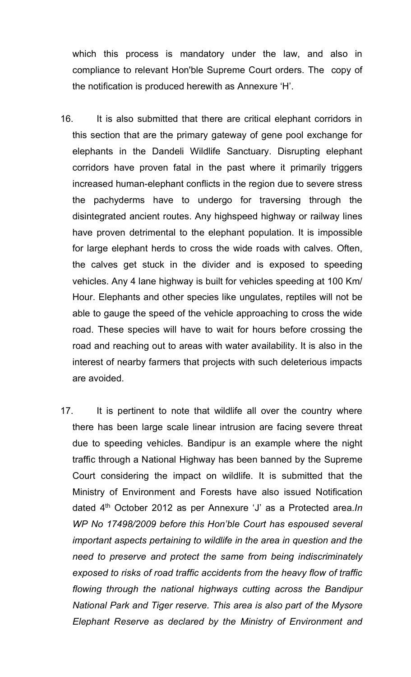which this process is mandatory under the law, and also in compliance to relevant Hon'ble Supreme Court orders. The copy of the notification is produced herewith as Annexure 'H'.

- 16. It is also submitted that there are critical elephant corridors in this section that are the primary gateway of gene pool exchange for elephants in the Dandeli Wildlife Sanctuary. Disrupting elephant corridors have proven fatal in the past where it primarily triggers increased human-elephant conflicts in the region due to severe stress the pachyderms have to undergo for traversing through the disintegrated ancient routes. Any highspeed highway or railway lines have proven detrimental to the elephant population. It is impossible for large elephant herds to cross the wide roads with calves. Often, the calves get stuck in the divider and is exposed to speeding vehicles. Any 4 lane highway is built for vehicles speeding at 100 Km/ Hour. Elephants and other species like ungulates, reptiles will not be able to gauge the speed of the vehicle approaching to cross the wide road. These species will have to wait for hours before crossing the road and reaching out to areas with water availability. It is also in the interest of nearby farmers that projects with such deleterious impacts are avoided.
- 17. It is pertinent to note that wildlife all over the country where there has been large scale linear intrusion are facing severe threat due to speeding vehicles. Bandipur is an example where the night traffic through a National Highway has been banned by the Supreme Court considering the impact on wildlife. It is submitted that the Ministry of Environment and Forests have also issued Notification dated 4th October 2012 as per Annexure 'J' as a Protected area.*In WP No 17498/2009 before this Hon'ble Court has espoused several important aspects pertaining to wildlife in the area in question and the need to preserve and protect the same from being indiscriminately exposed to risks of road traffic accidents from the heavy flow of traffic flowing through the national highways cutting across the Bandipur National Park and Tiger reserve. This area is also part of the Mysore Elephant Reserve as declared by the Ministry of Environment and*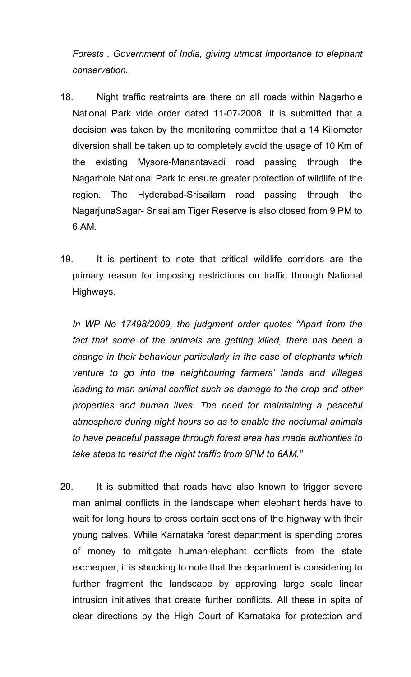*Forests , Government of India, giving utmost importance to elephant conservation.*

- 18. Night traffic restraints are there on all roads within Nagarhole National Park vide order dated 11-07-2008. It is submitted that a decision was taken by the monitoring committee that a 14 Kilometer diversion shall be taken up to completely avoid the usage of 10 Km of the existing Mysore-Manantavadi road passing through the Nagarhole National Park to ensure greater protection of wildlife of the region. The Hyderabad-Srisailam road passing through the NagarjunaSagar- Srisailam Tiger Reserve is also closed from 9 PM to 6 AM.
- 19. It is pertinent to note that critical wildlife corridors are the primary reason for imposing restrictions on traffic through National Highways.

*In WP No 17498/2009, the judgment order quotes "Apart from the*  fact that some of the animals are getting killed, there has been a *change in their behaviour particularly in the case of elephants which venture to go into the neighbouring farmers' lands and villages leading to man animal conflict such as damage to the crop and other properties and human lives. The need for maintaining a peaceful atmosphere during night hours so as to enable the nocturnal animals to have peaceful passage through forest area has made authorities to take steps to restrict the night traffic from 9PM to 6AM."*

20. It is submitted that roads have also known to trigger severe man animal conflicts in the landscape when elephant herds have to wait for long hours to cross certain sections of the highway with their young calves. While Karnataka forest department is spending crores of money to mitigate human-elephant conflicts from the state exchequer, it is shocking to note that the department is considering to further fragment the landscape by approving large scale linear intrusion initiatives that create further conflicts. All these in spite of clear directions by the High Court of Karnataka for protection and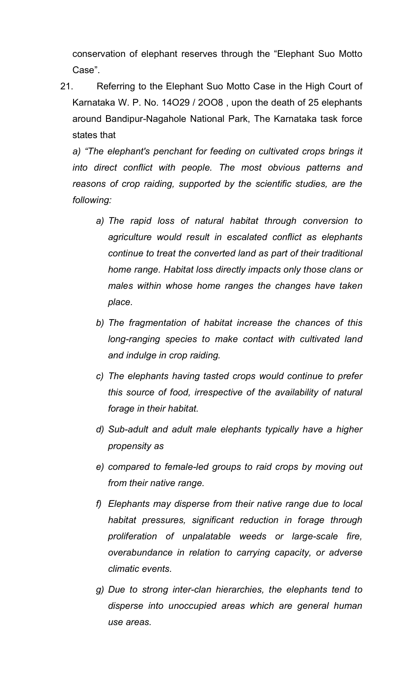conservation of elephant reserves through the "Elephant Suo Motto Case".

21. Referring to the Elephant Suo Motto Case in the High Court of Karnataka W. P. No. 14O29 / 2OO8 , upon the death of 25 elephants around Bandipur-Nagahole National Park, The Karnataka task force states that

*a) "The elephant's penchant for feeding on cultivated crops brings it into direct conflict with people. The most obvious patterns and reasons of crop raiding, supported by the scientific studies, are the following:*

- *a) The rapid loss of natural habitat through conversion to agriculture would result in escalated conflict as elephants continue to treat the converted land as part of their traditional home range. Habitat loss directly impacts only those clans or males within whose home ranges the changes have taken place.*
- *b) The fragmentation of habitat increase the chances of this long-ranging species to make contact with cultivated land and indulge in crop raiding.*
- *c) The elephants having tasted crops would continue to prefer this source of food, irrespective of the availability of natural forage in their habitat.*
- *d) Sub-adult and adult male elephants typically have a higher propensity as*
- *e) compared to female-led groups to raid crops by moving out from their native range.*
- *f) Elephants may disperse from their native range due to local habitat pressures, significant reduction in forage through proliferation of unpalatable weeds or large-scale fire, overabundance in relation to carrying capacity, or adverse climatic events.*
- *g) Due to strong inter-clan hierarchies, the elephants tend to disperse into unoccupied areas which are general human use areas.*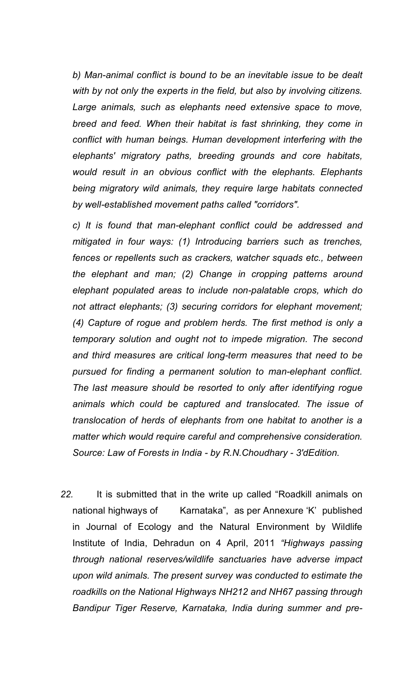*b) Man-animal conflict is bound to be an inevitable issue to be dealt with by not only the experts in the field, but also by involving citizens. Large animals, such as elephants need extensive space to move, breed and feed. When their habitat is fast shrinking, they come in conflict with human beings. Human development interfering with the elephants' migratory paths, breeding grounds and core habitats, would result in an obvious conflict with the elephants. Elephants being migratory wild animals, they require large habitats connected by well-established movement paths called "corridors".*

*c) It is found that man-elephant conflict could be addressed and mitigated in four ways: (1) Introducing barriers such as trenches, fences or repellents such as crackers, watcher squads etc., between the elephant and man; (2) Change in cropping patterns around elephant populated areas to include non-palatable crops, which do not attract elephants; (3) securing corridors for elephant movement; (4) Capture of rogue and problem herds. The first method is only a temporary solution and ought not to impede migration. The second and third measures are critical long-term measures that need to be pursued for finding a permanent solution to man-elephant conflict. The last measure should be resorted to only after identifying rogue animals which could be captured and translocated. The issue of translocation of herds of elephants from one habitat to another is a matter which would require careful and comprehensive consideration. Source: Law of Forests in India - by R.N.Choudhary - 3'dEdition.*

*22.* It is submitted that in the write up called "Roadkill animals on national highways of Karnataka", as per Annexure 'K' published in Journal of Ecology and the Natural Environment by Wildlife Institute of India, Dehradun on 4 April, 2011 *"Highways passing through national reserves/wildlife sanctuaries have adverse impact upon wild animals. The present survey was conducted to estimate the roadkills on the National Highways NH212 and NH67 passing through Bandipur Tiger Reserve, Karnataka, India during summer and pre-*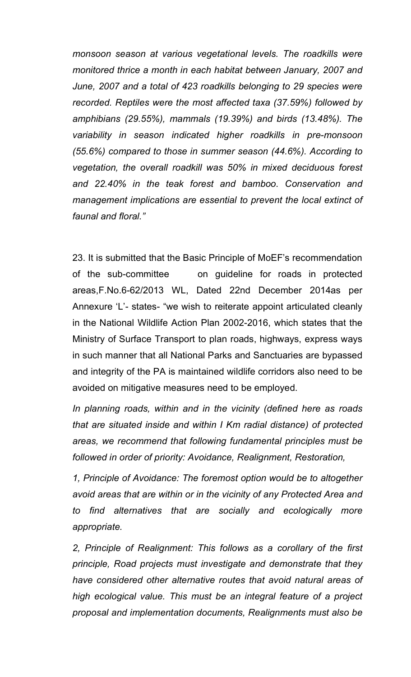*monsoon season at various vegetational levels. The roadkills were monitored thrice a month in each habitat between January, 2007 and June, 2007 and a total of 423 roadkills belonging to 29 species were recorded. Reptiles were the most affected taxa (37.59%) followed by amphibians (29.55%), mammals (19.39%) and birds (13.48%). The variability in season indicated higher roadkills in pre-monsoon (55.6%) compared to those in summer season (44.6%). According to vegetation, the overall roadkill was 50% in mixed deciduous forest and 22.40% in the teak forest and bamboo. Conservation and management implications are essential to prevent the local extinct of faunal and floral."*

23. It is submitted that the Basic Principle of MoEF's recommendation of the sub-committee on guideline for roads in protected areas,F.No.6-62/2013 WL, Dated 22nd December 2014as per Annexure 'L'- states- "we wish to reiterate appoint articulated cleanly in the National Wildlife Action Plan 2002-2016, which states that the Ministry of Surface Transport to plan roads, highways, express ways in such manner that all National Parks and Sanctuaries are bypassed and integrity of the PA is maintained wildlife corridors also need to be avoided on mitigative measures need to be employed.

*In planning roads, within and in the vicinity (defined here as roads that are situated inside and within I Km radial distance) of protected areas, we recommend that following fundamental principles must be followed in order of priority: Avoidance, Realignment, Restoration,*

*1, Principle of Avoidance: The foremost option would be to altogether avoid areas that are within or in the vicinity of any Protected Area and to find alternatives that are socially and ecologically more appropriate.*

*2, Principle of Realignment: This follows as a corollary of the first principle, Road projects must investigate and demonstrate that they have considered other alternative routes that avoid natural areas of high ecological value. This must be an integral feature of a project proposal and implementation documents, Realignments must also be*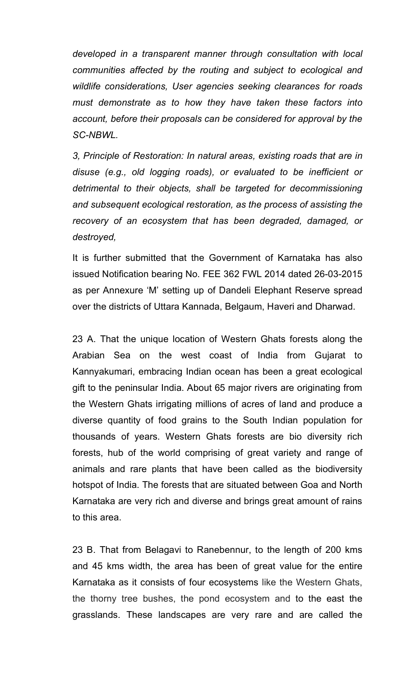*developed in a transparent manner through consultation with local communities affected by the routing and subject to ecological and wildlife considerations, User agencies seeking clearances for roads must demonstrate as to how they have taken these factors into account, before their proposals can be considered for approval by the SC-NBWL.*

*3, Principle of Restoration: In natural areas, existing roads that are in disuse (e.g., old logging roads), or evaluated to be inefficient or detrimental to their objects, shall be targeted for decommissioning and subsequent ecological restoration, as the process of assisting the recovery of an ecosystem that has been degraded, damaged, or destroyed,*

It is further submitted that the Government of Karnataka has also issued Notification bearing No. FEE 362 FWL 2014 dated 26-03-2015 as per Annexure 'M' setting up of Dandeli Elephant Reserve spread over the districts of Uttara Kannada, Belgaum, Haveri and Dharwad.

23 A. That the unique location of Western Ghats forests along the Arabian Sea on the west coast of India from Gujarat to Kannyakumari, embracing Indian ocean has been a great ecological gift to the peninsular India. About 65 major rivers are originating from the Western Ghats irrigating millions of acres of land and produce a diverse quantity of food grains to the South Indian population for thousands of years. Western Ghats forests are bio diversity rich forests, hub of the world comprising of great variety and range of animals and rare plants that have been called as the biodiversity hotspot of India. The forests that are situated between Goa and North Karnataka are very rich and diverse and brings great amount of rains to this area.

23 B. That from Belagavi to Ranebennur, to the length of 200 kms and 45 kms width, the area has been of great value for the entire Karnataka as it consists of four ecosystems like the Western Ghats, the thorny tree bushes, the pond ecosystem and to the east the grasslands. These landscapes are very rare and are called the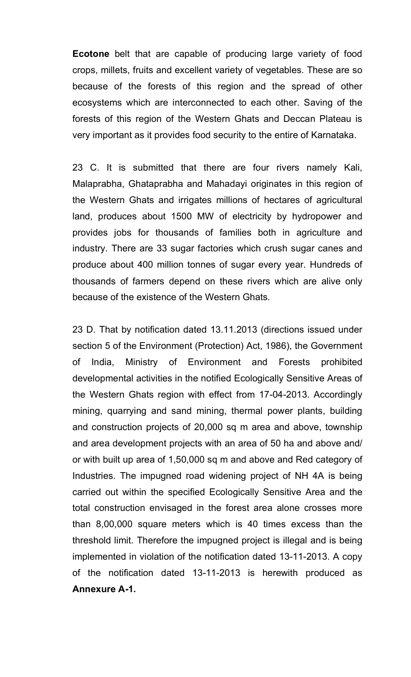**Ecotone** belt that are capable of producing large variety of food crops, millets, fruits and excellent variety of vegetables. These are so because of the forests of this region and the spread of other ecosystems which are interconnected to each other. Saving of the forests of this region of the Western Ghats and Deccan Plateau is very important as it provides food security to the entire of Karnataka.

23 C. It is submitted that there are four rivers namely Kali, Malaprabha, Ghataprabha and Mahadayi originates in this region of the Western Ghats and irrigates millions of hectares of agricultural land, produces about 1500 MW of electricity by hydropower and provides jobs for thousands of families both in agriculture and industry. There are 33 sugar factories which crush sugar canes and produce about 400 million tonnes of sugar every year. Hundreds of thousands of farmers depend on these rivers which are alive only because of the existence of the Western Ghats.

23 D. That by notification dated 13.11.2013 (directions issued under section 5 of the Environment (Protection) Act, 1986), the Government of India, Ministry of Environment and Forests prohibited developmental activities in the notified Ecologically Sensitive Areas of the Western Ghats region with effect from 17-04-2013. Accordingly mining, quarrying and sand mining, thermal power plants, building and construction projects of 20,000 sq m area and above, township and area development projects with an area of 50 ha and above and/ or with built up area of 1,50,000 sq m and above and Red category of Industries. The impugned road widening project of NH 4A is being carried out within the specified Ecologically Sensitive Area and the total construction envisaged in the forest area alone crosses more than 8,00,000 square meters which is 40 times excess than the threshold limit. Therefore the impugned project is illegal and is being implemented in violation of the notification dated 13-11-2013. A copy of the notification dated 13-11-2013 is herewith produced as **Annexure A-1.**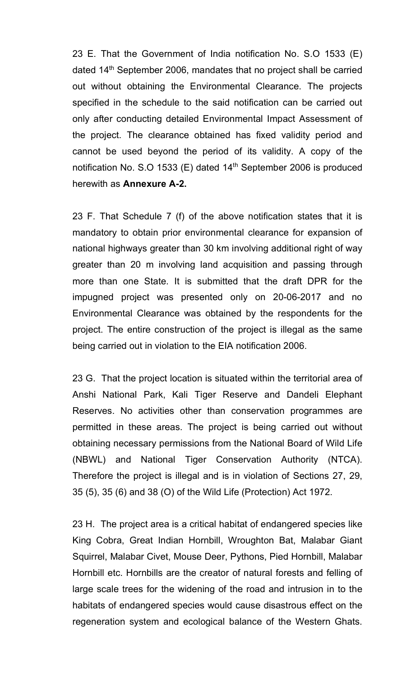23 E. That the Government of India notification No. S.O 1533 (E) dated  $14<sup>th</sup>$  September 2006, mandates that no project shall be carried out without obtaining the Environmental Clearance. The projects specified in the schedule to the said notification can be carried out only after conducting detailed Environmental Impact Assessment of the project. The clearance obtained has fixed validity period and cannot be used beyond the period of its validity. A copy of the notification No. S.O 1533 (E) dated 14<sup>th</sup> September 2006 is produced herewith as **Annexure A-2.**

23 F. That Schedule 7 (f) of the above notification states that it is mandatory to obtain prior environmental clearance for expansion of national highways greater than 30 km involving additional right of way greater than 20 m involving land acquisition and passing through more than one State. It is submitted that the draft DPR for the impugned project was presented only on 20-06-2017 and no Environmental Clearance was obtained by the respondents for the project. The entire construction of the project is illegal as the same being carried out in violation to the EIA notification 2006.

23 G. That the project location is situated within the territorial area of Anshi National Park, Kali Tiger Reserve and Dandeli Elephant Reserves. No activities other than conservation programmes are permitted in these areas. The project is being carried out without obtaining necessary permissions from the National Board of Wild Life (NBWL) and National Tiger Conservation Authority (NTCA). Therefore the project is illegal and is in violation of Sections 27, 29, 35 (5), 35 (6) and 38 (O) of the Wild Life (Protection) Act 1972.

23 H. The project area is a critical habitat of endangered species like King Cobra, Great Indian Hornbill, Wroughton Bat, Malabar Giant Squirrel, Malabar Civet, Mouse Deer, Pythons, Pied Hornbill, Malabar Hornbill etc. Hornbills are the creator of natural forests and felling of large scale trees for the widening of the road and intrusion in to the habitats of endangered species would cause disastrous effect on the regeneration system and ecological balance of the Western Ghats.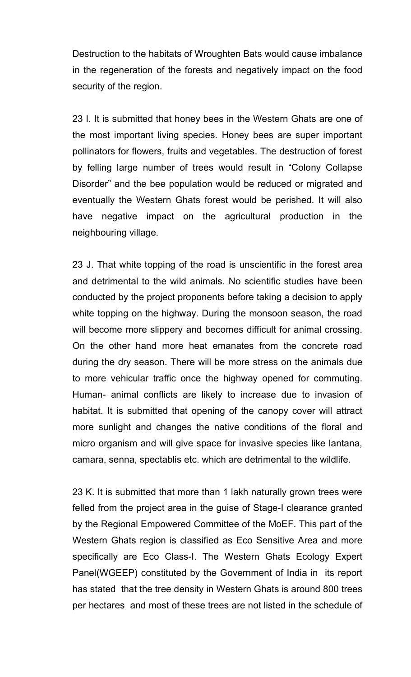Destruction to the habitats of Wroughten Bats would cause imbalance in the regeneration of the forests and negatively impact on the food security of the region.

23 I. It is submitted that honey bees in the Western Ghats are one of the most important living species. Honey bees are super important pollinators for flowers, fruits and vegetables. The destruction of forest by felling large number of trees would result in "Colony Collapse Disorder" and the bee population would be reduced or migrated and eventually the Western Ghats forest would be perished. It will also have negative impact on the agricultural production in the neighbouring village.

23 J. That white topping of the road is unscientific in the forest area and detrimental to the wild animals. No scientific studies have been conducted by the project proponents before taking a decision to apply white topping on the highway. During the monsoon season, the road will become more slippery and becomes difficult for animal crossing. On the other hand more heat emanates from the concrete road during the dry season. There will be more stress on the animals due to more vehicular traffic once the highway opened for commuting. Human- animal conflicts are likely to increase due to invasion of habitat. It is submitted that opening of the canopy cover will attract more sunlight and changes the native conditions of the floral and micro organism and will give space for invasive species like lantana, camara, senna, spectablis etc. which are detrimental to the wildlife.

23 K. It is submitted that more than 1 lakh naturally grown trees were felled from the project area in the guise of Stage-I clearance granted by the Regional Empowered Committee of the MoEF. This part of the Western Ghats region is classified as Eco Sensitive Area and more specifically are Eco Class-I. The Western Ghats Ecology Expert Panel(WGEEP) constituted by the Government of India in its report has stated that the tree density in Western Ghats is around 800 trees per hectares and most of these trees are not listed in the schedule of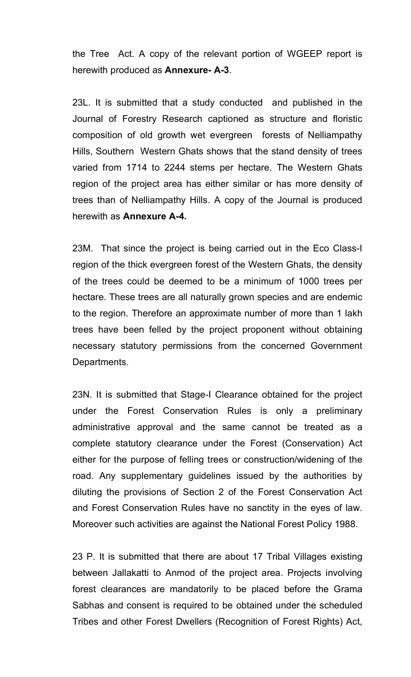the Tree Act. A copy of the relevant portion of WGEEP report is herewith produced as **Annexure- A-3**.

23L. It is submitted that a study conducted and published in the Journal of Forestry Research captioned as structure and floristic composition of old growth wet evergreen forests of Nelliampathy Hills, Southern Western Ghats shows that the stand density of trees varied from 1714 to 2244 stems per hectare. The Western Ghats region of the project area has either similar or has more density of trees than of Nelliampathy Hills. A copy of the Journal is produced herewith as **Annexure A-4.**

23M. That since the project is being carried out in the Eco Class-I region of the thick evergreen forest of the Western Ghats, the density of the trees could be deemed to be a minimum of 1000 trees per hectare. These trees are all naturally grown species and are endemic to the region. Therefore an approximate number of more than 1 lakh trees have been felled by the project proponent without obtaining necessary statutory permissions from the concerned Government Departments.

23N. It is submitted that Stage-I Clearance obtained for the project under the Forest Conservation Rules is only a preliminary administrative approval and the same cannot be treated as a complete statutory clearance under the Forest (Conservation) Act either for the purpose of felling trees or construction/widening of the road. Any supplementary guidelines issued by the authorities by diluting the provisions of Section 2 of the Forest Conservation Act and Forest Conservation Rules have no sanctity in the eyes of law. Moreover such activities are against the National Forest Policy 1988.

23 P. It is submitted that there are about 17 Tribal Villages existing between Jallakatti to Anmod of the project area. Projects involving forest clearances are mandatorily to be placed before the Grama Sabhas and consent is required to be obtained under the scheduled Tribes and other Forest Dwellers (Recognition of Forest Rights) Act,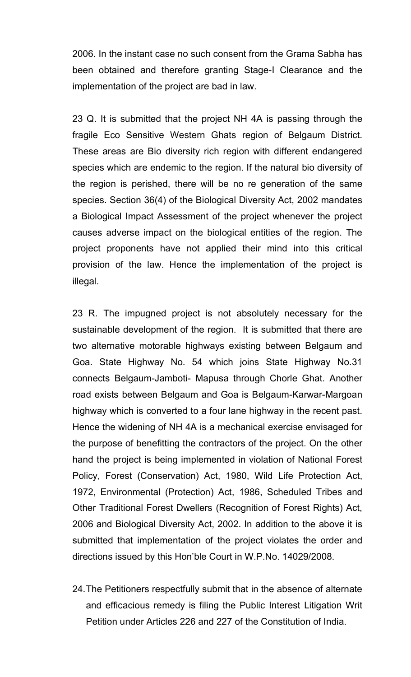2006. In the instant case no such consent from the Grama Sabha has been obtained and therefore granting Stage-I Clearance and the implementation of the project are bad in law.

23 Q. It is submitted that the project NH 4A is passing through the fragile Eco Sensitive Western Ghats region of Belgaum District. These areas are Bio diversity rich region with different endangered species which are endemic to the region. If the natural bio diversity of the region is perished, there will be no re generation of the same species. Section 36(4) of the Biological Diversity Act, 2002 mandates a Biological Impact Assessment of the project whenever the project causes adverse impact on the biological entities of the region. The project proponents have not applied their mind into this critical provision of the law. Hence the implementation of the project is illegal.

23 R. The impugned project is not absolutely necessary for the sustainable development of the region. It is submitted that there are two alternative motorable highways existing between Belgaum and Goa. State Highway No. 54 which joins State Highway No.31 connects Belgaum-Jamboti- Mapusa through Chorle Ghat. Another road exists between Belgaum and Goa is Belgaum-Karwar-Margoan highway which is converted to a four lane highway in the recent past. Hence the widening of NH 4A is a mechanical exercise envisaged for the purpose of benefitting the contractors of the project. On the other hand the project is being implemented in violation of National Forest Policy, Forest (Conservation) Act, 1980, Wild Life Protection Act, 1972, Environmental (Protection) Act, 1986, Scheduled Tribes and Other Traditional Forest Dwellers (Recognition of Forest Rights) Act, 2006 and Biological Diversity Act, 2002. In addition to the above it is submitted that implementation of the project violates the order and directions issued by this Hon'ble Court in W.P.No. 14029/2008.

24.The Petitioners respectfully submit that in the absence of alternate and efficacious remedy is filing the Public Interest Litigation Writ Petition under Articles 226 and 227 of the Constitution of India.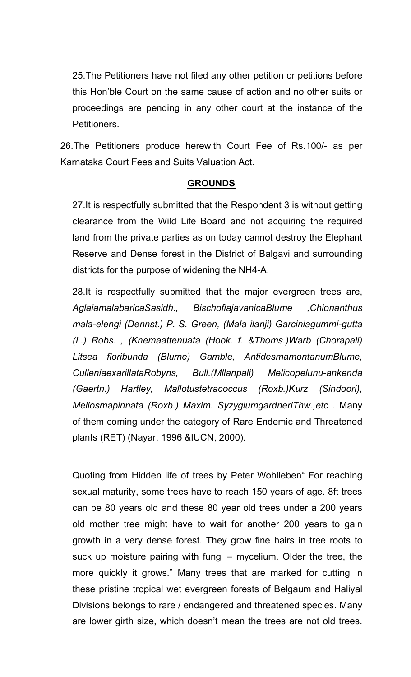25.The Petitioners have not filed any other petition or petitions before this Hon'ble Court on the same cause of action and no other suits or proceedings are pending in any other court at the instance of the Petitioners.

26.The Petitioners produce herewith Court Fee of Rs.100/- as per Karnataka Court Fees and Suits Valuation Act.

#### **GROUNDS**

27.It is respectfully submitted that the Respondent 3 is without getting clearance from the Wild Life Board and not acquiring the required land from the private parties as on today cannot destroy the Elephant Reserve and Dense forest in the District of Balgavi and surrounding districts for the purpose of widening the NH4-A.

28.It is respectfully submitted that the major evergreen trees are, *AglaiamalabaricaSasidh., BischofiajavanicaBlume ,Chionanthus mala-elengi (Dennst.) P. S. Green, (Mala ilanji) Garciniagummi-gutta (L.) Robs. , (Knemaattenuata (Hook. f. &Thoms.)Warb (Chorapali) Litsea floribunda (Blume) Gamble, AntidesmamontanumBlume, CulleniaexarillataRobyns, Bull.(Mllanpali) Melicopelunu-ankenda (Gaertn.) Hartley, Mallotustetracoccus (Roxb.)Kurz (Sindoori), Meliosmapinnata (Roxb.) Maxim. SyzygiumgardneriThw.,etc* . Many of them coming under the category of Rare Endemic and Threatened plants (RET) (Nayar, 1996 &IUCN, 2000).

Quoting from Hidden life of trees by Peter Wohlleben" For reaching sexual maturity, some trees have to reach 150 years of age. 8ft trees can be 80 years old and these 80 year old trees under a 200 years old mother tree might have to wait for another 200 years to gain growth in a very dense forest. They grow fine hairs in tree roots to suck up moisture pairing with fungi – mycelium. Older the tree, the more quickly it grows." Many trees that are marked for cutting in these pristine tropical wet evergreen forests of Belgaum and Haliyal Divisions belongs to rare / endangered and threatened species. Many are lower girth size, which doesn't mean the trees are not old trees.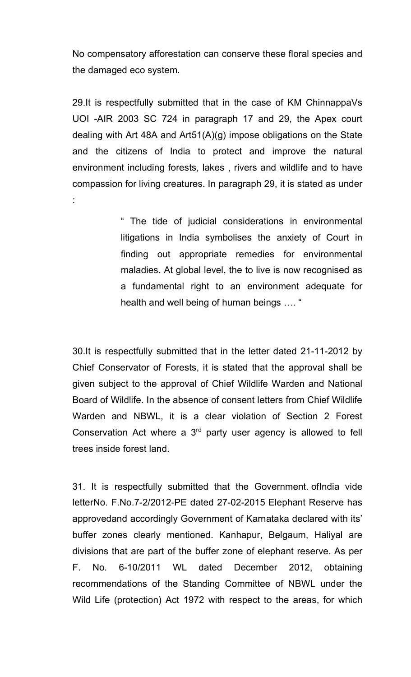No compensatory afforestation can conserve these floral species and the damaged eco system.

29.It is respectfully submitted that in the case of KM ChinnappaVs UOI -AIR 2003 SC 724 in paragraph 17 and 29, the Apex court dealing with Art 48A and Art51(A)(g) impose obligations on the State and the citizens of India to protect and improve the natural environment including forests, lakes , rivers and wildlife and to have compassion for living creatures. In paragraph 29, it is stated as under :

> " The tide of judicial considerations in environmental litigations in India symbolises the anxiety of Court in finding out appropriate remedies for environmental maladies. At global level, the to live is now recognised as a fundamental right to an environment adequate for health and well being of human beings …. "

30.It is respectfully submitted that in the letter dated 21-11-2012 by Chief Conservator of Forests, it is stated that the approval shall be given subject to the approval of Chief Wildlife Warden and National Board of Wildlife. In the absence of consent letters from Chief Wildlife Warden and NBWL, it is a clear violation of Section 2 Forest Conservation Act where a 3<sup>rd</sup> party user agency is allowed to fell trees inside forest land.

31. It is respectfully submitted that the Government. ofIndia vide letterNo. F.No.7-2/2012-PE dated 27-02-2015 Elephant Reserve has approvedand accordingly Government of Karnataka declared with its' buffer zones clearly mentioned. Kanhapur, Belgaum, Haliyal are divisions that are part of the buffer zone of elephant reserve. As per F. No. 6-10/2011 WL dated December 2012, obtaining recommendations of the Standing Committee of NBWL under the Wild Life (protection) Act 1972 with respect to the areas, for which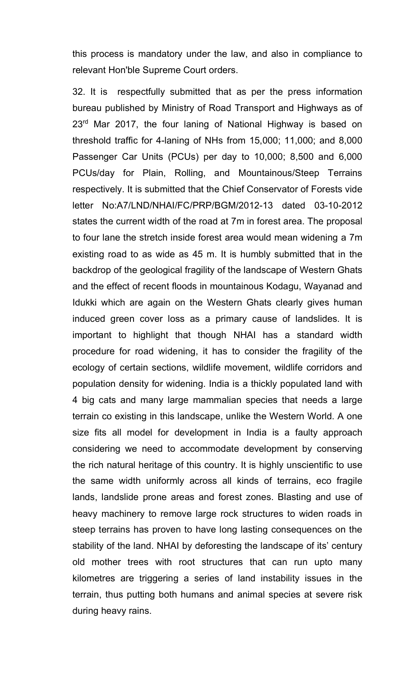this process is mandatory under the law, and also in compliance to relevant Hon'ble Supreme Court orders.

32. It is respectfully submitted that as per the press information bureau published by Ministry of Road Transport and Highways as of 23<sup>rd</sup> Mar 2017, the four laning of National Highway is based on threshold traffic for 4-laning of NHs from 15,000; 11,000; and 8,000 Passenger Car Units (PCUs) per day to 10,000; 8,500 and 6,000 PCUs/day for Plain, Rolling, and Mountainous/Steep Terrains respectively. It is submitted that the Chief Conservator of Forests vide letter No:A7/LND/NHAI/FC/PRP/BGM/2012-13 dated 03-10-2012 states the current width of the road at 7m in forest area. The proposal to four lane the stretch inside forest area would mean widening a 7m existing road to as wide as 45 m. It is humbly submitted that in the backdrop of the geological fragility of the landscape of Western Ghats and the effect of recent floods in mountainous Kodagu, Wayanad and Idukki which are again on the Western Ghats clearly gives human induced green cover loss as a primary cause of landslides. It is important to highlight that though NHAI has a standard width procedure for road widening, it has to consider the fragility of the ecology of certain sections, wildlife movement, wildlife corridors and population density for widening. India is a thickly populated land with 4 big cats and many large mammalian species that needs a large terrain co existing in this landscape, unlike the Western World. A one size fits all model for development in India is a faulty approach considering we need to accommodate development by conserving the rich natural heritage of this country. It is highly unscientific to use the same width uniformly across all kinds of terrains, eco fragile lands, landslide prone areas and forest zones. Blasting and use of heavy machinery to remove large rock structures to widen roads in steep terrains has proven to have long lasting consequences on the stability of the land. NHAI by deforesting the landscape of its' century old mother trees with root structures that can run upto many kilometres are triggering a series of land instability issues in the terrain, thus putting both humans and animal species at severe risk during heavy rains.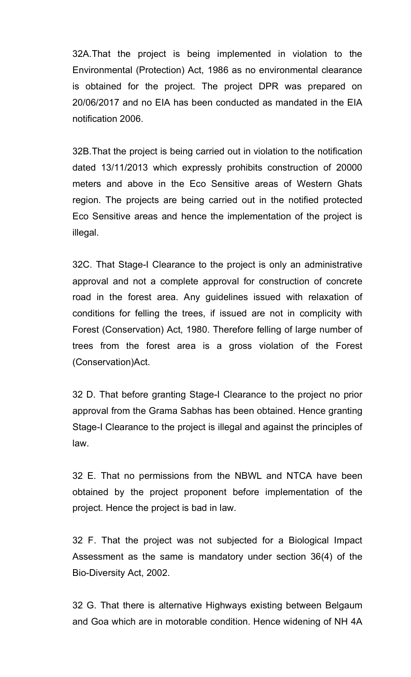32A.That the project is being implemented in violation to the Environmental (Protection) Act, 1986 as no environmental clearance is obtained for the project. The project DPR was prepared on 20/06/2017 and no EIA has been conducted as mandated in the EIA notification 2006.

32B.That the project is being carried out in violation to the notification dated 13/11/2013 which expressly prohibits construction of 20000 meters and above in the Eco Sensitive areas of Western Ghats region. The projects are being carried out in the notified protected Eco Sensitive areas and hence the implementation of the project is illegal.

32C. That Stage-I Clearance to the project is only an administrative approval and not a complete approval for construction of concrete road in the forest area. Any guidelines issued with relaxation of conditions for felling the trees, if issued are not in complicity with Forest (Conservation) Act, 1980. Therefore felling of large number of trees from the forest area is a gross violation of the Forest (Conservation)Act.

32 D. That before granting Stage-I Clearance to the project no prior approval from the Grama Sabhas has been obtained. Hence granting Stage-I Clearance to the project is illegal and against the principles of law.

32 E. That no permissions from the NBWL and NTCA have been obtained by the project proponent before implementation of the project. Hence the project is bad in law.

32 F. That the project was not subjected for a Biological Impact Assessment as the same is mandatory under section 36(4) of the Bio-Diversity Act, 2002.

32 G. That there is alternative Highways existing between Belgaum and Goa which are in motorable condition. Hence widening of NH 4A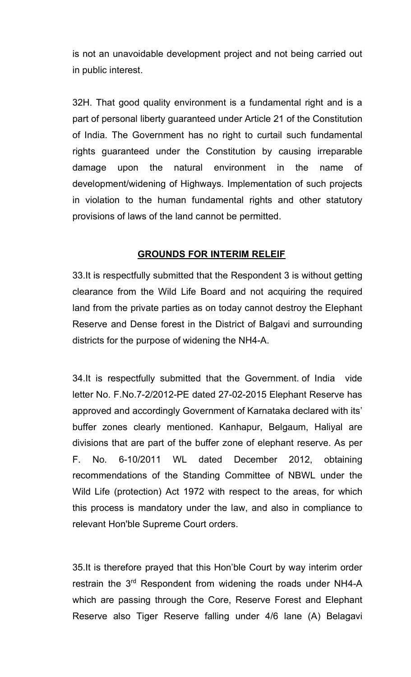is not an unavoidable development project and not being carried out in public interest.

32H. That good quality environment is a fundamental right and is a part of personal liberty guaranteed under Article 21 of the Constitution of India. The Government has no right to curtail such fundamental rights guaranteed under the Constitution by causing irreparable damage upon the natural environment in the name of development/widening of Highways. Implementation of such projects in violation to the human fundamental rights and other statutory provisions of laws of the land cannot be permitted.

#### **GROUNDS FOR INTERIM RELEIF**

33.It is respectfully submitted that the Respondent 3 is without getting clearance from the Wild Life Board and not acquiring the required land from the private parties as on today cannot destroy the Elephant Reserve and Dense forest in the District of Balgavi and surrounding districts for the purpose of widening the NH4-A.

34.It is respectfully submitted that the Government. of India vide letter No. F.No.7-2/2012-PE dated 27-02-2015 Elephant Reserve has approved and accordingly Government of Karnataka declared with its' buffer zones clearly mentioned. Kanhapur, Belgaum, Haliyal are divisions that are part of the buffer zone of elephant reserve. As per F. No. 6-10/2011 WL dated December 2012, obtaining recommendations of the Standing Committee of NBWL under the Wild Life (protection) Act 1972 with respect to the areas, for which this process is mandatory under the law, and also in compliance to relevant Hon'ble Supreme Court orders.

35.It is therefore prayed that this Hon'ble Court by way interim order restrain the 3<sup>rd</sup> Respondent from widening the roads under NH4-A which are passing through the Core, Reserve Forest and Elephant Reserve also Tiger Reserve falling under 4/6 lane (A) Belagavi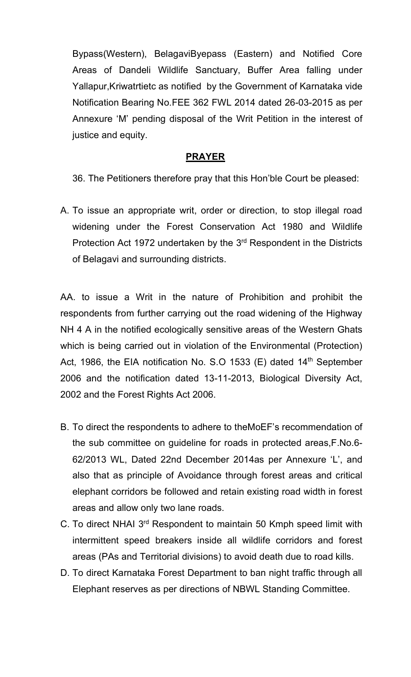Bypass(Western), BelagaviByepass (Eastern) and Notified Core Areas of Dandeli Wildlife Sanctuary, Buffer Area falling under Yallapur,Kriwatrtietc as notified by the Government of Karnataka vide Notification Bearing No.FEE 362 FWL 2014 dated 26-03-2015 as per Annexure 'M' pending disposal of the Writ Petition in the interest of justice and equity.

### **PRAYER**

36. The Petitioners therefore pray that this Hon'ble Court be pleased:

A. To issue an appropriate writ, order or direction, to stop illegal road widening under the Forest Conservation Act 1980 and Wildlife Protection Act 1972 undertaken by the  $3<sup>rd</sup>$  Respondent in the Districts of Belagavi and surrounding districts.

AA. to issue a Writ in the nature of Prohibition and prohibit the respondents from further carrying out the road widening of the Highway NH 4 A in the notified ecologically sensitive areas of the Western Ghats which is being carried out in violation of the Environmental (Protection) Act, 1986, the EIA notification No. S.O 1533 (E) dated  $14<sup>th</sup>$  September 2006 and the notification dated 13-11-2013, Biological Diversity Act, 2002 and the Forest Rights Act 2006.

- B. To direct the respondents to adhere to theMoEF's recommendation of the sub committee on guideline for roads in protected areas,F.No.6- 62/2013 WL, Dated 22nd December 2014as per Annexure 'L', and also that as principle of Avoidance through forest areas and critical elephant corridors be followed and retain existing road width in forest areas and allow only two lane roads.
- C. To direct NHAI 3rd Respondent to maintain 50 Kmph speed limit with intermittent speed breakers inside all wildlife corridors and forest areas (PAs and Territorial divisions) to avoid death due to road kills.
- D. To direct Karnataka Forest Department to ban night traffic through all Elephant reserves as per directions of NBWL Standing Committee.